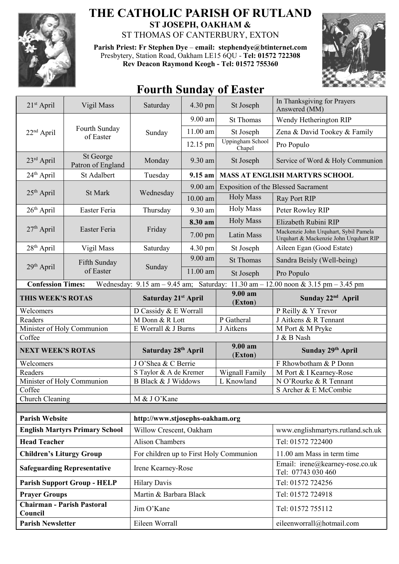

## **THE CATHOLIC PARISH OF RUTLAND ST JOSEPH, OAKHAM &**  ST THOMAS OF CANTERBURY, EXTON

**Parish Priest: Fr Stephen Dye** – **[email: stephendye@btinternet.com](mailto:email:%20%20stephendye@btinternet.com)** Presbytery, Station Road, Oakham LE15 6QU - **Tel: 01572 722308 Rev Deacon Raymond Keogh - Tel: 01572 755360**



## **Fourth Sunday of Easter**

| 21 <sup>st</sup> April                                                                                        | Vigil Mass                     | Saturday                                | 4.30 pm    | St Joseph                           | In Thanksgiving for Prayers<br>Answered (MM)                                    |  |
|---------------------------------------------------------------------------------------------------------------|--------------------------------|-----------------------------------------|------------|-------------------------------------|---------------------------------------------------------------------------------|--|
| $22nd$ April                                                                                                  | Fourth Sunday<br>of Easter     | Sunday                                  | 9.00 am    | <b>St Thomas</b>                    | Wendy Hetherington RIP                                                          |  |
|                                                                                                               |                                |                                         | 11.00 am   | St Joseph                           | Zena & David Tookey & Family                                                    |  |
|                                                                                                               |                                |                                         | 12.15 pm   | Uppingham School<br>Chapel          | Pro Populo                                                                      |  |
| 23rd April                                                                                                    | St George<br>Patron of England | Monday                                  | 9.30 am    | St Joseph                           | Service of Word & Holy Communion                                                |  |
| 24 <sup>th</sup> April                                                                                        | St Adalbert                    | Tuesday                                 | $9.15$ am  |                                     | <b>MASS AT ENGLISH MARTYRS SCHOOL</b>                                           |  |
| 25 <sup>th</sup> April                                                                                        | St Mark                        | Wednesday                               | $9.00$ am  | Exposition of the Blessed Sacrament |                                                                                 |  |
|                                                                                                               |                                |                                         | $10.00$ am | <b>Holy Mass</b>                    | Ray Port RIP                                                                    |  |
| $26th$ April                                                                                                  | Easter Feria                   | Thursday                                | 9.30 am    | <b>Holy Mass</b>                    | Peter Rowley RIP                                                                |  |
| $27th$ April                                                                                                  | Easter Feria                   | Friday                                  | 8.30 am    | <b>Holy Mass</b>                    | Elizabeth Rubini RIP                                                            |  |
|                                                                                                               |                                |                                         | $7.00$ pm  | Latin Mass                          | Mackenzie John Urquhart, Sybil Pamela<br>Urquhart & Mackenzie John Urquhart RIP |  |
| $28th$ April                                                                                                  | Vigil Mass                     | Saturday                                | 4.30 pm    | St Joseph                           | Aileen Egan (Good Estate)                                                       |  |
|                                                                                                               | Fifth Sunday<br>of Easter      | Sunday                                  | $9.00$ am  | <b>St Thomas</b>                    | Sandra Beisly (Well-being)                                                      |  |
| 29 <sup>th</sup> April                                                                                        |                                |                                         | $11.00$ am | St Joseph                           | Pro Populo                                                                      |  |
| Wednesday: 9.15 am - 9.45 am; Saturday: 11.30 am - 12.00 noon & 3.15 pm - 3.45 pm<br><b>Confession Times:</b> |                                |                                         |            |                                     |                                                                                 |  |
| THIS WEEK'S ROTAS                                                                                             |                                | Saturday 21 <sup>st</sup> April         |            | 9.00 am<br>(Exton)                  | Sunday 22 <sup>nd</sup> April                                                   |  |
| Welcomers                                                                                                     |                                | D Cassidy & E Worrall                   |            |                                     | P Reilly & Y Trevor                                                             |  |
| Readers                                                                                                       |                                | M Donn & R Lott                         |            | P Gatheral                          | J Aitkens & R Tennant                                                           |  |
| Minister of Holy Communion                                                                                    |                                | E Worrall & J Burns                     |            | J Aitkens                           | M Port & M Pryke                                                                |  |
| Coffee                                                                                                        |                                |                                         |            |                                     | J & B Nash                                                                      |  |
| <b>NEXT WEEK'S ROTAS</b>                                                                                      |                                | Saturday 28 <sup>th</sup> April         |            | 9.00 am<br>(Exton)                  | Sunday 29th April                                                               |  |
| Welcomers                                                                                                     |                                | J O'Shea & C Berrie                     |            |                                     | F Rhowbotham & P Donn                                                           |  |
| Readers                                                                                                       |                                | S Taylor & A de Kremer                  |            | Wignall Family                      | M Port & I Kearney-Rose                                                         |  |
| Minister of Holy Communion                                                                                    |                                | B Black & J Widdows<br>L Knowland       |            |                                     | N O'Rourke & R Tennant                                                          |  |
| Coffee                                                                                                        |                                |                                         |            |                                     | S Archer & E McCombie                                                           |  |
| <b>Church Cleaning</b>                                                                                        |                                | M & J O'Kane                            |            |                                     |                                                                                 |  |
|                                                                                                               |                                |                                         |            |                                     |                                                                                 |  |
| <b>Parish Website</b>                                                                                         |                                | http://www.stjosephs-oakham.org         |            |                                     |                                                                                 |  |
| <b>English Martyrs Primary School</b>                                                                         |                                | Willow Crescent, Oakham                 |            |                                     | www.englishmartyrs.rutland.sch.uk                                               |  |
| <b>Head Teacher</b>                                                                                           |                                | <b>Alison Chambers</b>                  |            |                                     | Tel: 01572 722400                                                               |  |
| <b>Children's Liturgy Group</b>                                                                               |                                | For children up to First Holy Communion |            |                                     | 11.00 am Mass in term time                                                      |  |
| <b>Safeguarding Representative</b>                                                                            |                                | Irene Kearney-Rose                      |            |                                     | Email: irene@kearney-rose.co.uk<br>Tel: 07743 030 460                           |  |
| <b>Parish Support Group - HELP</b>                                                                            |                                | <b>Hilary Davis</b>                     |            |                                     | Tel: 01572 724256                                                               |  |
| <b>Prayer Groups</b>                                                                                          |                                | Martin & Barbara Black                  |            |                                     | Tel: 01572 724918                                                               |  |
| <b>Chairman - Parish Pastoral</b><br>Council                                                                  |                                | Jim O'Kane                              |            |                                     | Tel: 01572 755112                                                               |  |
| <b>Parish Newsletter</b>                                                                                      |                                | Eileen Worrall                          |            |                                     | eileenworrall@hotmail.com                                                       |  |